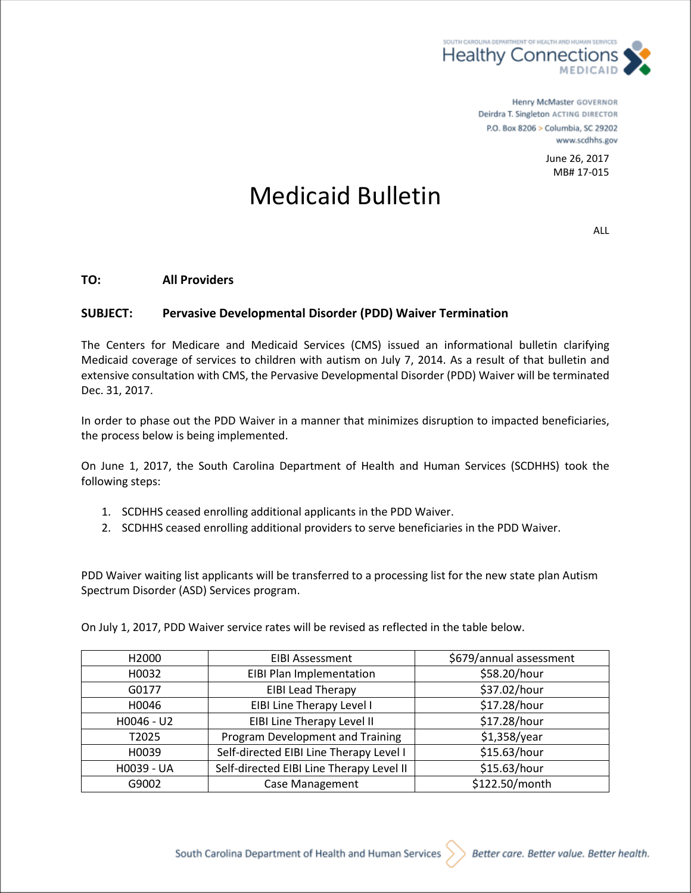

Henry McMaster GOVERNOR Deirdra T. Singleton ACTING DIRECTOR P.O. Box 8206 > Columbia, SC 29202 www.scdhhs.gov

> June 26, 2017 MB# 17-015

## Medicaid Bulletin

ALL

## **TO: All Providers**

## **SUBJECT: Pervasive Developmental Disorder (PDD) Waiver Termination**

The Centers for Medicare and Medicaid Services (CMS) issued an informational bulletin clarifying Medicaid coverage of services to children with autism on July 7, 2014. As a result of that bulletin and extensive consultation with CMS, the Pervasive Developmental Disorder (PDD) Waiver will be terminated Dec. 31, 2017.

In order to phase out the PDD Waiver in a manner that minimizes disruption to impacted beneficiaries, the process below is being implemented.

On June 1, 2017, the South Carolina Department of Health and Human Services (SCDHHS) took the following steps:

- 1. SCDHHS ceased enrolling additional applicants in the PDD Waiver.
- 2. SCDHHS ceased enrolling additional providers to serve beneficiaries in the PDD Waiver.

PDD Waiver waiting list applicants will be transferred to a processing list for the new state plan Autism Spectrum Disorder (ASD) Services program.

| H <sub>2000</sub> | <b>EIBI Assessment</b>                   | \$679/annual assessment |
|-------------------|------------------------------------------|-------------------------|
| H0032             | EIBI Plan Implementation                 | \$58.20/hour            |
| G0177             | <b>EIBI Lead Therapy</b>                 | \$37.02/hour            |
| H0046             | EIBI Line Therapy Level I                | \$17.28/hour            |
| H0046 - U2        | EIBI Line Therapy Level II               | \$17.28/hour            |
| T2025             | Program Development and Training         | \$1,358/year            |
| H0039             | Self-directed EIBI Line Therapy Level I  | \$15.63/hour            |
| H0039 - UA        | Self-directed EIBI Line Therapy Level II | \$15.63/hour            |
| G9002             | Case Management                          | \$122.50/month          |

On July 1, 2017, PDD Waiver service rates will be revised as reflected in the table below.